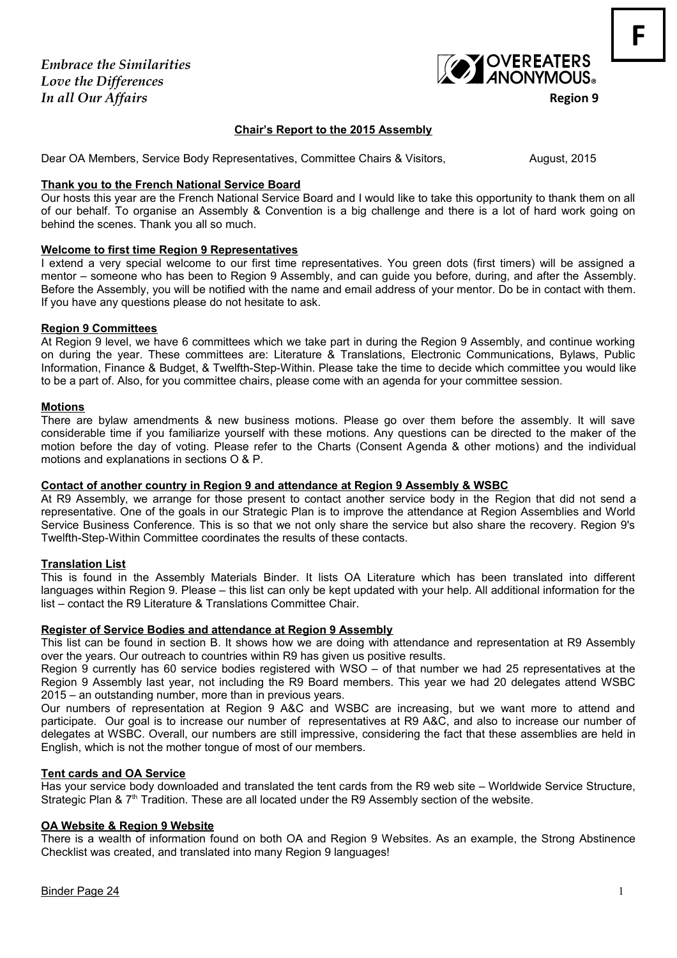*Embrace the Similarities Love the Differences In all Our Affairs* **Region 9** 



**F**

# **Chair's Report to the 2015 Assembly**

Dear OA Members, Service Body Representatives, Committee Chairs & Visitors, **August, 2015** 

#### **Thank you to the French National Service Board**

Our hosts this year are the French National Service Board and I would like to take this opportunity to thank them on all of our behalf. To organise an Assembly & Convention is a big challenge and there is a lot of hard work going on behind the scenes. Thank you all so much.

#### **Welcome to first time Region 9 Representatives**

I extend a very special welcome to our first time representatives. You green dots (first timers) will be assigned a mentor – someone who has been to Region 9 Assembly, and can guide you before, during, and after the Assembly. Before the Assembly, you will be notified with the name and email address of your mentor. Do be in contact with them. If you have any questions please do not hesitate to ask.

### **Region 9 Committees**

At Region 9 level, we have 6 committees which we take part in during the Region 9 Assembly, and continue working on during the year. These committees are: Literature & Translations, Electronic Communications, Bylaws, Public Information, Finance & Budget, & Twelfth-Step-Within. Please take the time to decide which committee you would like to be a part of. Also, for you committee chairs, please come with an agenda for your committee session.

#### **Motions**

There are bylaw amendments & new business motions. Please go over them before the assembly. It will save considerable time if you familiarize yourself with these motions. Any questions can be directed to the maker of the motion before the day of voting. Please refer to the Charts (Consent Agenda & other motions) and the individual motions and explanations in sections O & P.

#### **Contact of another country in Region 9 and attendance at Region 9 Assembly & WSBC**

At R9 Assembly, we arrange for those present to contact another service body in the Region that did not send a representative. One of the goals in our Strategic Plan is to improve the attendance at Region Assemblies and World Service Business Conference. This is so that we not only share the service but also share the recovery. Region 9's Twelfth-Step-Within Committee coordinates the results of these contacts.

#### **Translation List**

This is found in the Assembly Materials Binder. It lists OA Literature which has been translated into different languages within Region 9. Please – this list can only be kept updated with your help. All additional information for the list – contact the R9 Literature & Translations Committee Chair.

#### **Register of Service Bodies and attendance at Region 9 Assembly**

This list can be found in section B. It shows how we are doing with attendance and representation at R9 Assembly over the years. Our outreach to countries within R9 has given us positive results.

Region 9 currently has 60 service bodies registered with WSO – of that number we had 25 representatives at the Region 9 Assembly last year, not including the R9 Board members. This year we had 20 delegates attend WSBC 2015 – an outstanding number, more than in previous years.

Our numbers of representation at Region 9 A&C and WSBC are increasing, but we want more to attend and participate. Our goal is to increase our number of representatives at R9 A&C, and also to increase our number of delegates at WSBC. Overall, our numbers are still impressive, considering the fact that these assemblies are held in English, which is not the mother tongue of most of our members.

#### **Tent cards and OA Service**

Has your service body downloaded and translated the tent cards from the R9 web site – Worldwide Service Structure, Strategic Plan &  $7<sup>th</sup>$  Tradition. These are all located under the R9 Assembly section of the website.

# **OA Website & Region 9 Website**

There is a wealth of information found on both OA and Region 9 Websites. As an example, the Strong Abstinence Checklist was created, and translated into many Region 9 languages!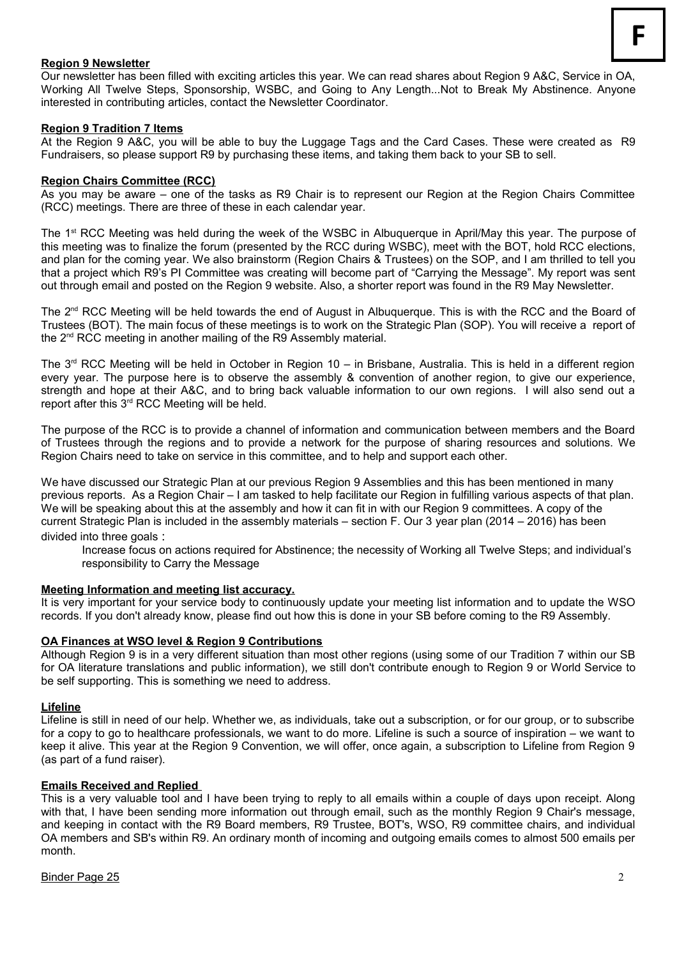# **Region 9 Newsletter**

Our newsletter has been filled with exciting articles this year. We can read shares about Region 9 A&C, Service in OA, Working All Twelve Steps, Sponsorship, WSBC, and Going to Any Length...Not to Break My Abstinence. Anyone interested in contributing articles, contact the Newsletter Coordinator.

#### **Region 9 Tradition 7 Items**

At the Region 9 A&C, you will be able to buy the Luggage Tags and the Card Cases. These were created as R9 Fundraisers, so please support R9 by purchasing these items, and taking them back to your SB to sell.

#### **Region Chairs Committee (RCC)**

As you may be aware – one of the tasks as R9 Chair is to represent our Region at the Region Chairs Committee (RCC) meetings. There are three of these in each calendar year.

The 1<sup>st</sup> RCC Meeting was held during the week of the WSBC in Albuquerque in April/May this year. The purpose of this meeting was to finalize the forum (presented by the RCC during WSBC), meet with the BOT, hold RCC elections, and plan for the coming year. We also brainstorm (Region Chairs & Trustees) on the SOP, and I am thrilled to tell you that a project which R9's PI Committee was creating will become part of "Carrying the Message". My report was sent out through email and posted on the Region 9 website. Also, a shorter report was found in the R9 May Newsletter.

The  $2<sup>nd</sup> RCC$  Meeting will be held towards the end of August in Albuquerque. This is with the RCC and the Board of Trustees (BOT). The main focus of these meetings is to work on the Strategic Plan (SOP). You will receive a report of the 2<sup>nd</sup> RCC meeting in another mailing of the R9 Assembly material.

The  $3<sup>rd</sup>$  RCC Meeting will be held in October in Region 10 – in Brisbane, Australia. This is held in a different region every year. The purpose here is to observe the assembly & convention of another region, to give our experience, strength and hope at their A&C, and to bring back valuable information to our own regions. I will also send out a report after this 3rd RCC Meeting will be held.

The purpose of the RCC is to provide a channel of information and communication between members and the Board of Trustees through the regions and to provide a network for the purpose of sharing resources and solutions. We Region Chairs need to take on service in this committee, and to help and support each other.

We have discussed our Strategic Plan at our previous Region 9 Assemblies and this has been mentioned in many previous reports. As a Region Chair – I am tasked to help facilitate our Region in fulfilling various aspects of that plan. We will be speaking about this at the assembly and how it can fit in with our Region 9 committees. A copy of the current Strategic Plan is included in the assembly materials – section F. Our 3 year plan (2014 – 2016) has been divided into three goals :

Increase focus on actions required for Abstinence; the necessity of Working all Twelve Steps; and individual's responsibility to Carry the Message

#### **Meeting Information and meeting list accuracy.**

It is very important for your service body to continuously update your meeting list information and to update the WSO records. If you don't already know, please find out how this is done in your SB before coming to the R9 Assembly.

#### **OA Finances at WSO level & Region 9 Contributions**

Although Region 9 is in a very different situation than most other regions (using some of our Tradition 7 within our SB for OA literature translations and public information), we still don't contribute enough to Region 9 or World Service to be self supporting. This is something we need to address.

#### **Lifeline**

Lifeline is still in need of our help. Whether we, as individuals, take out a subscription, or for our group, or to subscribe for a copy to go to healthcare professionals, we want to do more. Lifeline is such a source of inspiration – we want to keep it alive. This year at the Region 9 Convention, we will offer, once again, a subscription to Lifeline from Region 9 (as part of a fund raiser).

#### **Emails Received and Replied**

This is a very valuable tool and I have been trying to reply to all emails within a couple of days upon receipt. Along with that, I have been sending more information out through email, such as the monthly Region 9 Chair's message, and keeping in contact with the R9 Board members, R9 Trustee, BOT's, WSO, R9 committee chairs, and individual OA members and SB's within R9. An ordinary month of incoming and outgoing emails comes to almost 500 emails per month.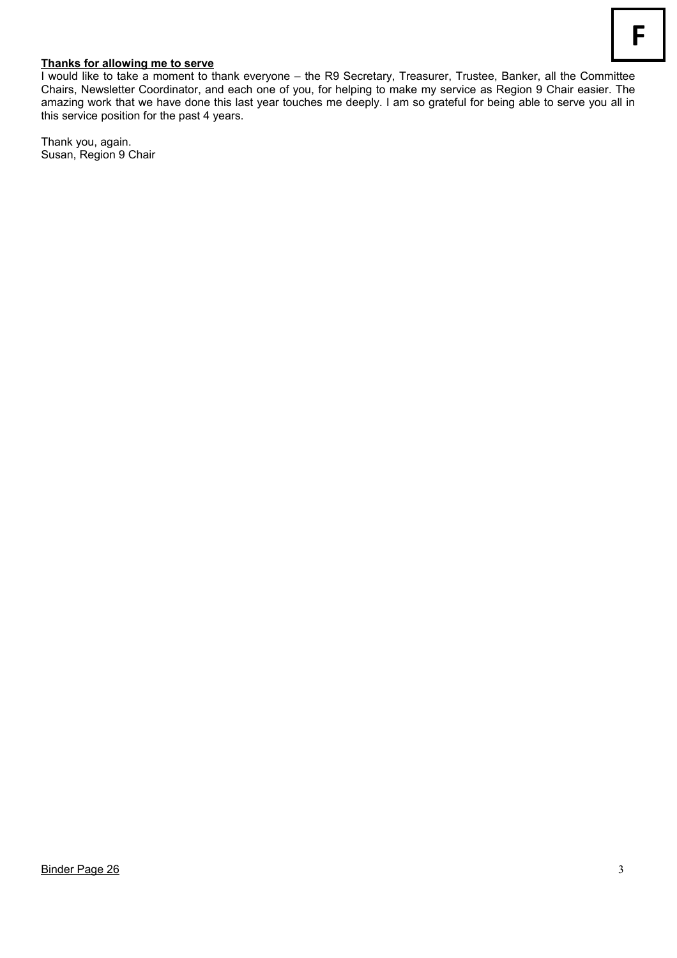### **Thanks for allowing me to serve**

I would like to take a moment to thank everyone – the R9 Secretary, Treasurer, Trustee, Banker, all the Committee Chairs, Newsletter Coordinator, and each one of you, for helping to make my service as Region 9 Chair easier. The amazing work that we have done this last year touches me deeply. I am so grateful for being able to serve you all in this service position for the past 4 years.

Thank you, again. Susan, Region 9 Chair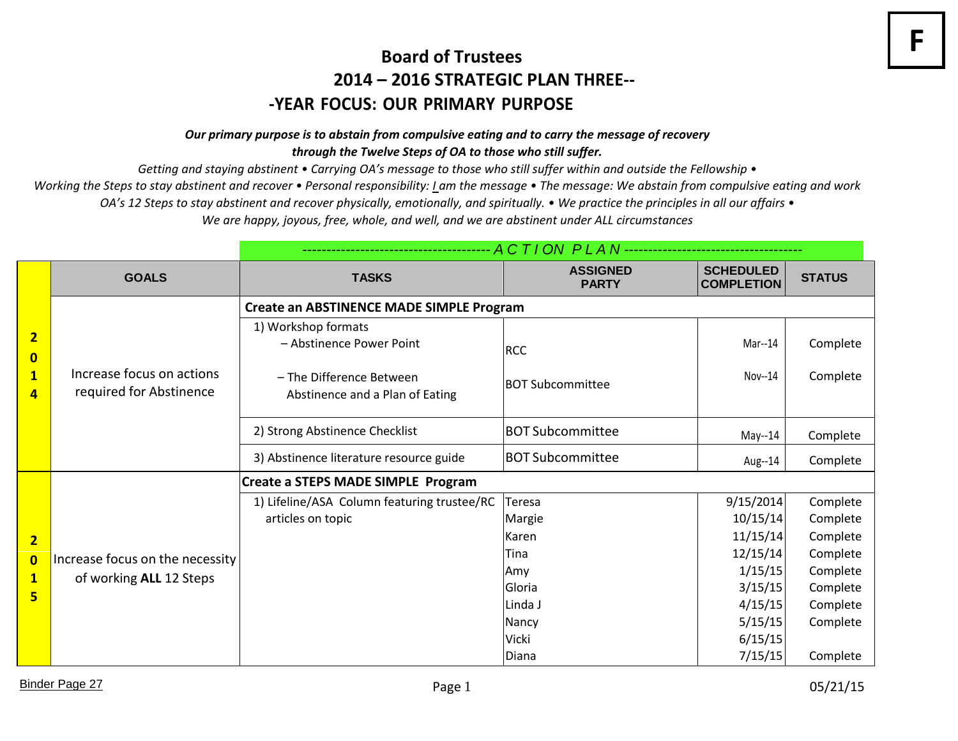# **Board of Trustees 2014 – 2016 STRATEGIC PLAN THREE-- ‐YEAR FOCUS: OUR PRIMARY PURPOSE**

# *Our primary purpose is to abstain from compulsive eating and to carry the message of recovery through the Twelve Steps of OA to those who still suffer.*

*Getting and staying abstinent • Carrying OA's message to those who still suffer within and outside the Fellowship •*

*Working the Steps to stay abstinent and recover* • Personal responsibility: *Lam the message* • The message: We abstain from compulsive eating and work

*OA's 12 Steps to stay abstinent and recover physically, emotionally, and spiritually. • We practice the principles in all our affairs •*

*We are happy, joyous, free, whole, and well, and we are abstinent under ALL circumstances*

|                                                                | <b>GOALS</b>                                               | <b>TASKS</b>                                                | <b>ASSIGNED</b><br><b>PARTY</b> | <b>SCHEDULED</b><br><b>COMPLETION</b> | <b>STATUS</b> |  |  |
|----------------------------------------------------------------|------------------------------------------------------------|-------------------------------------------------------------|---------------------------------|---------------------------------------|---------------|--|--|
| $\overline{2}$<br>$\bf{0}$<br>$\overline{\mathbf{1}}$<br>4     | Increase focus on actions<br>required for Abstinence       | Create an ABSTINENCE MADE SIMPLE Program                    |                                 |                                       |               |  |  |
|                                                                |                                                            | 1) Workshop formats<br>- Abstinence Power Point             | <b>RCC</b>                      | Mar--14                               | Complete      |  |  |
|                                                                |                                                            | - The Difference Between<br>Abstinence and a Plan of Eating | <b>BOT Subcommittee</b>         | $Nov-14$                              | Complete      |  |  |
|                                                                |                                                            | 2) Strong Abstinence Checklist                              | <b>BOT Subcommittee</b>         | May--14                               | Complete      |  |  |
|                                                                |                                                            | 3) Abstinence literature resource guide                     | <b>BOT Subcommittee</b>         | Aug--14                               | Complete      |  |  |
| $\overline{2}$<br>$\overline{\mathbf{0}}$<br>$\mathbf{1}$<br>5 |                                                            | Create a STEPS MADE SIMPLE Program                          |                                 |                                       |               |  |  |
|                                                                | Increase focus on the necessity<br>of working ALL 12 Steps | 1) Lifeline/ASA Column featuring trustee/RC                 | <b>Teresa</b>                   | 9/15/2014                             | Complete      |  |  |
|                                                                |                                                            | articles on topic                                           | Margie                          | 10/15/14                              | Complete      |  |  |
|                                                                |                                                            |                                                             | Karen                           | 11/15/14                              | Complete      |  |  |
|                                                                |                                                            |                                                             | Tina                            | 12/15/14                              | Complete      |  |  |
|                                                                |                                                            |                                                             | Amy                             | 1/15/15                               | Complete      |  |  |
|                                                                |                                                            |                                                             | Gloria                          | 3/15/15                               | Complete      |  |  |
|                                                                |                                                            |                                                             | Linda J                         | 4/15/15                               | Complete      |  |  |
|                                                                |                                                            |                                                             | Nancy                           | 5/15/15                               | Complete      |  |  |
|                                                                |                                                            |                                                             | <b>Vicki</b>                    | 6/15/15                               |               |  |  |
|                                                                |                                                            |                                                             | Diana                           | 7/15/15                               | Complete      |  |  |